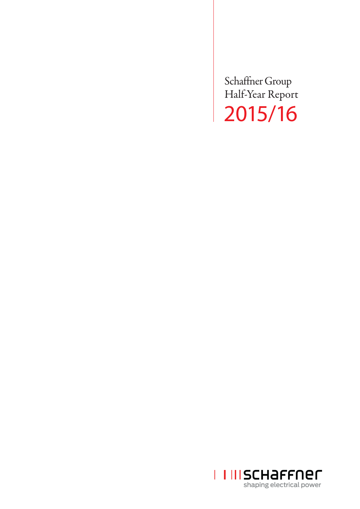Schaffner Group Half-Year Report 2015/16

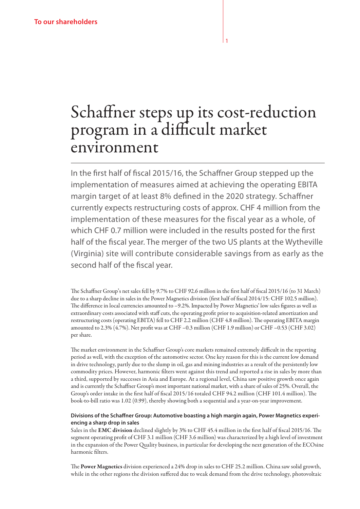# Schaffner steps up its cost-reduction program in a difficult market environment

1

In the first half of fiscal 2015/16, the Schaffner Group stepped up the implementation of measures aimed at achieving the operating EBITA margin target of at least 8% defined in the 2020 strategy. Schaffner currently expects restructuring costs of approx. CHF 4 million from the implementation of these measures for the fiscal year as a whole, of which CHF 0.7 million were included in the results posted for the first half of the fiscal year. The merger of the two US plants at the Wytheville (Virginia) site will contribute considerable savings from as early as the second half of the fiscal year.

The Schaffner Group's net sales fell by 9.7% to CHF 92.6 million in the first half of fiscal 2015/16 (to 31 March) due to a sharp decline in sales in the Power Magnetics division (first half of fiscal 2014/15: CHF 102.5 million). The difference in local currencies amounted to –9.2%. Impacted by Power Magnetics' low sales figures as well as extraordinary costs associated with staff cuts, the operating profit prior to acquisition-related amortization and restructuring costs (operating EBITA) fell to CHF 2.2 million (CHF 4.8 million). The operating EBITA margin amounted to 2.3% (4.7%). Net profit was at CHF –0.3 million (CHF 1.9 million) or CHF –0.53 (CHF 3.02) per share.

The market environment in the Schaffner Group's core markets remained extremely difficult in the reporting period as well, with the exception of the automotive sector. One key reason for this is the current low demand in drive technology, partly due to the slump in oil, gas and mining industries as a result of the persistently low commodity prices. However, harmonic filters went against this trend and reported a rise in sales by more than a third, supported by successes in Asia and Europe. At a regional level, China saw positive growth once again and is currently the Schaffner Group's most important national market, with a share of sales of 25%. Overall, the Group's order intake in the first half of fiscal 2015/16 totaled CHF 94.2 million (CHF 101.4 million). The book-to-bill ratio was 1.02 (0.99), thereby showing both a sequential and a year-on-year improvement.

#### **Divisions of the Schaffner Group: Automotive boasting a high margin again, Power Magnetics experiencing a sharp drop in sales**

Sales in the EMC division declined slightly by 3% to CHF 45.4 million in the first half of fiscal 2015/16. The segment operating profit of CHF 3.1 million (CHF 3.6 million) was characterized by a high level of investment in the expansion of the Power Quality business, in particular for developing the next generation of the ECOsine harmonic filters.

The Power Magnetics division experienced a 24% drop in sales to CHF 25.2 million. China saw solid growth, while in the other regions the division suffered due to weak demand from the drive technology, photovoltaic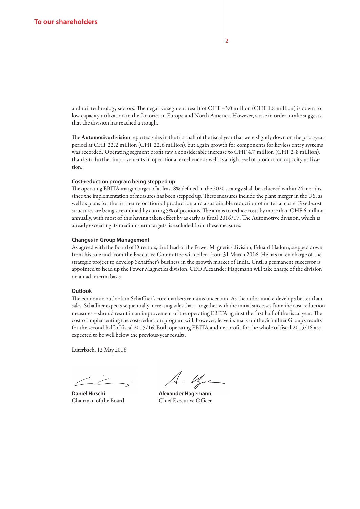and rail technology sectors. The negative segment result of CHF –3.0 million (CHF 1.8 million) is down to low capacity utilization in the factories in Europe and North America. However, a rise in order intake suggests that the division has reached a trough.

The Automotive division reported sales in the first half of the fiscal year that were slightly down on the prior-year period at CHF 22.2 million (CHF 22.6 million), but again growth for components for keyless entry systems was recorded. Operating segment profit saw a considerable increase to CHF 4.7 million (CHF 2.8 million), thanks to further improvements in operational excellence as well as a high level of production capacity utilization.

#### **Cost-reduction program being stepped up**

The operating EBITA margin target of at least 8% defined in the 2020 strategy shall be achieved within 24 months since the implementation of measures has been stepped up. These measures include the plant merger in the US, as well as plans for the further relocation of production and a sustainable reduction of material costs. Fixed-cost structures are being streamlined by cutting 5% of positions. The aim is to reduce costs by more than CHF 6 million annually, with most of this having taken effect by as early as fiscal 2016/17. The Automotive division, which is already exceeding its medium-term targets, is excluded from these measures.

#### **Changes in Group Management**

As agreed with the Board of Directors, the Head of the Power Magnetics division, Eduard Hadorn, stepped down from his role and from the Executive Committee with effect from 31 March 2016. He has taken charge of the strategic project to develop Schaffner's business in the growth market of India. Until a permanent successor is appointed to head up the Power Magnetics division, CEO Alexander Hagemann will take charge of the division on an ad interim basis.

#### **Outlook**

The economic outlook in Schaffner's core markets remains uncertain. As the order intake develops better than sales, Schaffner expects sequentially increasing sales that – together with the initial successes from the cost-reduction measures – should result in an improvement of the operating EBITA against the first half of the fiscal year. The cost of implementing the cost-reduction program will, however, leave its mark on the Schaffner Group's results for the second half of fiscal 2015/16. Both operating EBITA and net profit for the whole of fiscal 2015/16 are expected to be well below the previous-year results.

Luterbach, 12 May 2016

**Daniel Hirschi Manuel Alexander Hagemann** 

Chairman of the Board Chief Executive Officer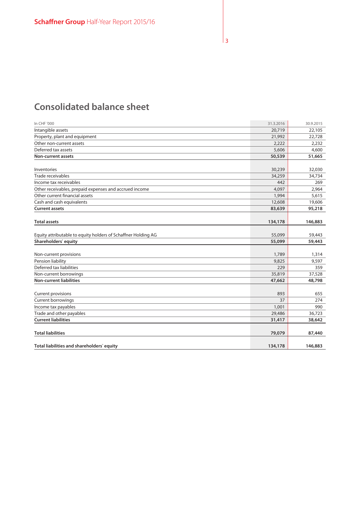# **Consolidated balance sheet**

| In CHF '000                                                   | 31.3.2016 | 30.9.2015 |
|---------------------------------------------------------------|-----------|-----------|
| Intangible assets                                             | 20,719    | 22,105    |
| Property, plant and equipment                                 | 21,992    | 22,728    |
| Other non-current assets                                      | 2,222     | 2,232     |
| Deferred tax assets                                           | 5,606     | 4,600     |
| <b>Non-current assets</b>                                     | 50,539    | 51,665    |
|                                                               |           |           |
| Inventories                                                   | 30,239    | 32,030    |
| Trade receivables                                             | 34,259    | 34,734    |
| Income tax receivables                                        | 442       | 269       |
| Other receivables, prepaid expenses and accrued income        | 4,097     | 2,964     |
| Other current financial assets                                | 1,994     | 5,615     |
| Cash and cash equivalents                                     | 12,608    | 19,606    |
| <b>Current assets</b>                                         | 83,639    | 95,218    |
|                                                               |           |           |
| <b>Total assets</b>                                           | 134,178   | 146,883   |
|                                                               |           |           |
| Equity attributable to equity holders of Schaffner Holding AG | 55,099    | 59,443    |
| Shareholders' equity                                          | 55,099    | 59,443    |
|                                                               |           |           |
| Non-current provisions                                        | 1,789     | 1,314     |
| Pension liability                                             | 9,825     | 9,597     |
| Deferred tax liabilities                                      | 229       | 359       |
| Non-current borrowings                                        | 35,819    | 37,528    |
| <b>Non-current liabilities</b>                                | 47,662    | 48,798    |
|                                                               |           |           |
| <b>Current provisions</b>                                     | 893       | 655       |
| <b>Current borrowings</b>                                     | 37        | 274       |
| Income tax payables                                           | 1,001     | 990       |
| Trade and other payables                                      | 29,486    | 36,723    |
| <b>Current liabilities</b>                                    | 31,417    | 38,642    |
|                                                               |           |           |
| <b>Total liabilities</b>                                      | 79,079    | 87,440    |
|                                                               |           |           |
| Total liabilities and shareholders' equity                    | 134,178   | 146,883   |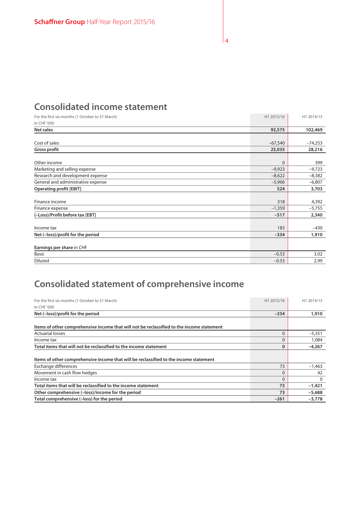### **Consolidated income statement**

| For the first six months (1 October to 31 March) | H1 2015/16 | H1 2014/15 |
|--------------------------------------------------|------------|------------|
| In CHF '000                                      |            |            |
| Net sales                                        | 92,575     | 102,469    |
|                                                  |            |            |
| Cost of sales                                    | $-67,540$  | $-74,253$  |
| <b>Gross profit</b>                              | 25,035     | 28,216     |
|                                                  |            |            |
| Other income                                     | $\Omega$   | 399        |
| Marketing and selling expense                    | $-9,923$   | $-9,723$   |
| Research and development expense                 | $-8,622$   | $-8,382$   |
| General and administrative expense               | $-5,966$   | $-6,807$   |
| <b>Operating profit [EBIT]</b>                   | 524        | 3,703      |
|                                                  |            |            |
| Finance income                                   | 318        | 4,392      |
| Finance expense                                  | $-1,359$   | $-5,755$   |
| (-Loss)/Profit before tax [EBT]                  | $-517$     | 2,340      |
|                                                  |            |            |
| Income tax                                       | 183        | $-430$     |
| Net (-loss)/profit for the period                | $-334$     | 1,910      |
|                                                  |            |            |
| Earnings per share in CHF                        |            |            |
| <b>Basic</b>                                     | $-0.53$    | 3.02       |
| <b>Diluted</b>                                   | $-0.53$    | 2.99       |

# **Consolidated statement of comprehensive income**

| For the first six months (1 October to 31 March)                                          | H1 2015/16 | H1 2014/15 |
|-------------------------------------------------------------------------------------------|------------|------------|
| In CHF '000                                                                               |            |            |
| Net (-loss)/profit for the period                                                         | $-334$     | 1,910      |
|                                                                                           |            |            |
| Items of other comprehensive income that will not be reclassified to the income statement |            |            |
| <b>Actuarial losses</b>                                                                   | $\Omega$   | $-5,351$   |
| Income tax                                                                                | $\Omega$   | 1,084      |
| Total items that will not be reclassified to the income statement                         | 0          | $-4,267$   |
|                                                                                           |            |            |
| Items of other comprehensive income that will be reclassified to the income statement     |            |            |
| Exchange differences                                                                      | 73         | $-1,463$   |
| Movement in cash flow hedges                                                              | $\Omega$   | 42         |
| Income tax                                                                                | $\Omega$   | $\Omega$   |
| Total items that will be reclassified to the income statement                             | 73         | $-1,421$   |
| Other comprehensive (-loss)/income for the period                                         | 73         | $-5,688$   |
| Total comprehensive (-loss) for the period                                                | $-261$     | $-3,778$   |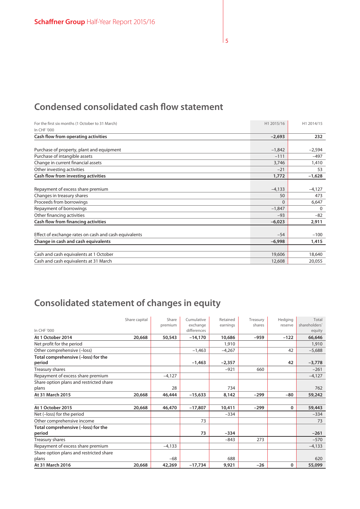# **Condensed consolidated cash flow statement**

| For the first six months (1 October to 31 March)<br>In CHF '000 | H1 2015/16 | H1 2014/15 |
|-----------------------------------------------------------------|------------|------------|
| Cash flow from operating activities                             | $-2,693$   | 232        |
|                                                                 |            |            |
| Purchase of property, plant and equipment                       | $-1,842$   | $-2,594$   |
| Purchase of intangible assets                                   | $-111$     | $-497$     |
| Change in current financial assets                              | 3,746      | 1,410      |
| Other investing activities                                      | $-21$      | 53         |
| <b>Cash flow from investing activities</b>                      | 1,772      | $-1,628$   |
|                                                                 |            |            |
| Repayment of excess share premium                               | $-4,133$   | $-4,127$   |
| Changes in treasury shares                                      | 50         | 473        |
| Proceeds from borrowings                                        | $\Omega$   | 6,647      |
| Repayment of borrowings                                         | $-1,847$   | $\Omega$   |
| Other financing activities                                      | $-93$      | $-82$      |
| Cash flow from financing activities                             | $-6,023$   | 2,911      |
|                                                                 |            |            |
| Effect of exchange rates on cash and cash equivalents           | $-54$      | $-100$     |
| Change in cash and cash equivalents                             | $-6,998$   | 1,415      |
|                                                                 |            |            |
| Cash and cash equivalents at 1 October                          | 19,606     | 18,640     |
| Cash and cash equivalents at 31 March                           | 12,608     | 20,055     |

# **Consolidated statement of changes in equity**

|                                                  | Share capital | Share    | Cumulative              | Retained | Treasury | Hedging | Total                   |
|--------------------------------------------------|---------------|----------|-------------------------|----------|----------|---------|-------------------------|
| In CHF '000                                      |               | premium  | exchange<br>differences | earnings | shares   | reserve | shareholders'<br>equity |
| At 1 October 2014                                | 20,668        | 50,543   | $-14,170$               | 10,686   | $-959$   | $-122$  | 66,646                  |
| Net profit for the period                        |               |          |                         | 1,910    |          |         | 1,910                   |
| Other comprehensive (-loss)                      |               |          | $-1,463$                | $-4,267$ |          | 42      | $-5,688$                |
| Total comprehensive (-loss) for the<br>period    |               |          | $-1,463$                | $-2,357$ |          | 42      | $-3,778$                |
| Treasury shares                                  |               |          |                         | $-921$   | 660      |         | $-261$                  |
| Repayment of excess share premium                |               | $-4,127$ |                         |          |          |         | $-4,127$                |
| Share option plans and restricted share<br>plans |               | 28       |                         | 734      |          |         | 762                     |
| At 31 March 2015                                 | 20,668        | 46,444   | $-15,633$               | 8,142    | $-299$   | $-80$   | 59,242                  |
| At 1 October 2015                                | 20,668        | 46,470   | $-17,807$               | 10,411   | $-299$   | 0       | 59,443                  |
| Net (-loss) for the period                       |               |          |                         | $-334$   |          |         | $-334$                  |
| Other comprehensive income                       |               |          | 73                      |          |          |         | 73                      |
| Total comprehensive (-loss) for the<br>period    |               |          | 73                      | $-334$   |          |         | $-261$                  |
| Treasury shares                                  |               |          |                         | $-843$   | 273      |         | $-570$                  |
| Repayment of excess share premium                |               | $-4,133$ |                         |          |          |         | $-4,133$                |
| Share option plans and restricted share<br>plans |               | $-68$    |                         | 688      |          |         | 620                     |
| At 31 March 2016                                 | 20,668        | 42,269   | $-17,734$               | 9,921    | $-26$    | 0       | 55,099                  |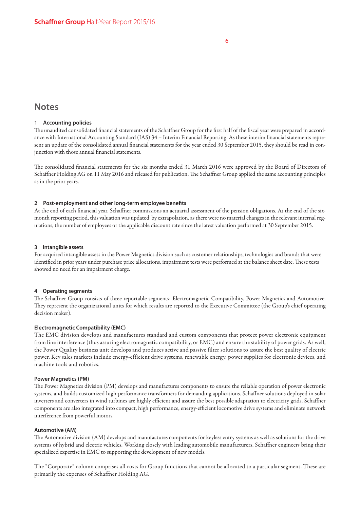### **Notes**

#### **1 Accounting policies**

The unaudited consolidated financial statements of the Schaffner Group for the first half of the fiscal year were prepared in accordance with International Accounting Standard (IAS) 34 – Interim Financial Reporting. As these interim financial statements represent an update of the consolidated annual financial statements for the year ended 30 September 2015, they should be read in conjunction with those annual financial statements.

The consolidated financial statements for the six months ended 31 March 2016 were approved by the Board of Directors of Schaffner Holding AG on 11 May 2016 and released for publication. The Schaffner Group applied the same accounting principles as in the prior years.

#### **2 Post-employment and other long-term employee benefits**

At the end of each financial year, Schaffner commissions an actuarial assessment of the pension obligations. At the end of the sixmonth reporting period, this valuation was updated by extrapolation, as there were no material changes in the relevant internal regulations, the number of employees or the applicable discount rate since the latest valuation performed at 30 September 2015.

#### **3 Intangible assets**

For acquired intangible assets in the Power Magnetics division such as customer relationships, technologies and brands that were identified in prior years under purchase price allocations, impairment tests were performed at the balance sheet date. These tests showed no need for an impairment charge.

#### **4 Operating segments**

The Schaffner Group consists of three reportable segments: Electromagnetic Compatibility, Power Magnetics and Automotive. They represent the organizational units for which results are reported to the Executive Committee (the Group's chief operating decision maker).

#### **Electromagnetic Compatibility (EMC)**

The EMC division develops and manufactures standard and custom components that protect power electronic equipment from line interference (thus assuring electromagnetic compatibility, or EMC) and ensure the stability of power grids. As well, the Power Quality business unit develops and produces active and passive filter solutions to assure the best quality of electric power. Key sales markets include energy-efficient drive systems, renewable energy, power supplies for electronic devices, and machine tools and robotics.

#### **Power Magnetics (PM)**

The Power Magnetics division (PM) develops and manufactures components to ensure the reliable operation of power electronic systems, and builds customized high-performance transformers for demanding applications. Schaffner solutions deployed in solar inverters and converters in wind turbines are highly efficient and assure the best possible adaptation to electricity grids. Schaffner components are also integrated into compact, high performance, energy-efficient locomotive drive systems and eliminate network interference from powerful motors.

#### **Automotive (AM)**

The Automotive division (AM) develops and manufactures components for keyless entry systems as well as solutions for the drive systems of hybrid and electric vehicles. Working closely with leading automobile manufacturers, Schaffner engineers bring their specialized expertise in EMC to supporting the development of new models.

The "Corporate" column comprises all costs for Group functions that cannot be allocated to a particular segment. These are primarily the expenses of Schaffner Holding AG.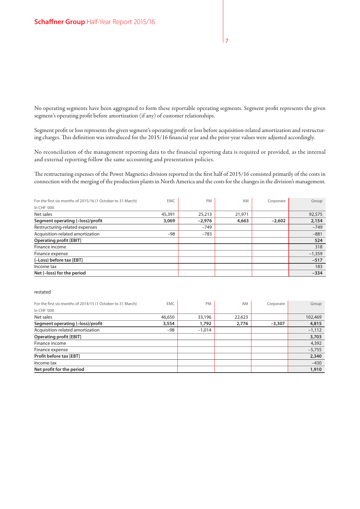No operating segments have been aggregated to form these reportable operating segments. Segment profit represents the given segment's operating profit before amortization (if any) of customer relationships.

Segment profit or loss represents the given segment's operating profit or loss before acquisition-related amortization and restructuring charges. This definition was introduced for the 2015/16 financial year and the prior-year values were adjusted accordingly.

No reconciliation of the management reporting data to the financial reporting data is required or provided, as the internal and external reporting follow the same accounting and presentation policies.

The restructuring expenses of the Power Magnetics division reported in the first half of 2015/16 consisted primarily of the costs in connection with the merging of the production plants in North America and the costs for the changes in the division's management.

| For the first six months of 2015/16 (1 October to 31 March) | <b>EMC</b> | <b>PM</b> | AM     | Corporate | Group    |
|-------------------------------------------------------------|------------|-----------|--------|-----------|----------|
| In CHF '000                                                 |            |           |        |           |          |
| Net sales                                                   | 45,391     | 25,213    | 21,971 |           | 92,575   |
| Segment operating (-loss)/profit                            | 3,069      | $-2,976$  | 4,663  | $-2.602$  | 2,154    |
| Restructuring-related expenses                              |            | $-749$    |        |           | $-749$   |
| Acquisition-related amortization                            | -98        | $-783$    |        |           | $-881$   |
| <b>Operating profit [EBIT]</b>                              |            |           |        |           | 524      |
| Finance income                                              |            |           |        |           | 318      |
| Finance expense                                             |            |           |        |           | $-1,359$ |
| (-Loss) before tax [EBT]                                    |            |           |        |           | $-517$   |
| Income tax                                                  |            |           |        |           | 183      |
| Net (-loss) for the period                                  |            |           |        |           | $-334$   |

#### restated

| For the first six months of 2014/15 (1 October to 31 March) | <b>EMC</b> | PM       | <b>AM</b> | Corporate | Group    |
|-------------------------------------------------------------|------------|----------|-----------|-----------|----------|
| In CHF '000                                                 |            |          |           |           |          |
| Net sales                                                   | 46,650     | 33,196   | 22,623    |           | 102,469  |
| Segment operating (-loss)/profit                            | 3,554      | 1,792    | 2,776     | $-3,307$  | 4,815    |
| Acquisition-related amortization                            | $-98$      | $-1,014$ |           |           | $-1,112$ |
| <b>Operating profit [EBIT]</b>                              |            |          |           |           | 3,703    |
| Finance income                                              |            |          |           |           | 4,392    |
| Finance expense                                             |            |          |           |           | $-5,755$ |
| Profit before tax [EBT]                                     |            |          |           |           | 2,340    |
| Income tax                                                  |            |          |           |           | $-430$   |
| Net profit for the period                                   |            |          |           |           | 1,910    |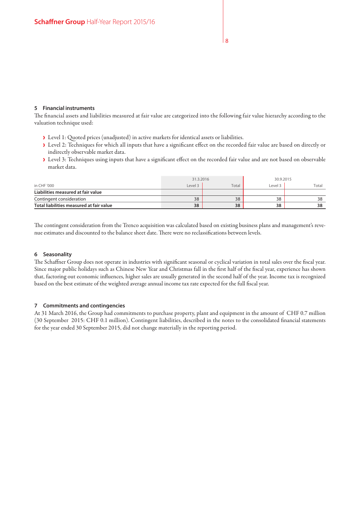#### **5 Financial instruments**

The financial assets and liabilities measured at fair value are categorized into the following fair value hierarchy according to the valuation technique used:

- › Level 1: Quoted prices (unadjusted) in active markets for identical assets or liabilities.
- › Level 2: Techniques for which all inputs that have a significant effect on the recorded fair value are based on directly or indirectly observable market data.
- › Level 3: Techniques using inputs that have a significant effect on the recorded fair value and are not based on observable market data.

|                                          | 31.3.2016 |       | 30.9.2015 |       |
|------------------------------------------|-----------|-------|-----------|-------|
| in CHF '000                              | Level 3   | Total | Level 3   | Total |
| Liabilities measured at fair value       |           |       |           |       |
| Contingent consideration                 | 38        | 38    | 38        | 38    |
| Total liabilities measured at fair value | 38        | 38    | 38        | 38    |

The contingent consideration from the Trenco acquisition was calculated based on existing business plans and management's revenue estimates and discounted to the balance sheet date. There were no reclassifications between levels.

#### **6 Seasonality**

The Schaffner Group does not operate in industries with significant seasonal or cyclical variation in total sales over the fiscal year. Since major public holidays such as Chinese New Year and Christmas fall in the first half of the fiscal year, experience has shown that, factoring out economic influences, higher sales are usually generated in the second half of the year. Income tax is recognized based on the best estimate of the weighted average annual income tax rate expected for the full fiscal year.

#### **7 Commitments and contingencies**

At 31 March 2016, the Group had commitments to purchase property, plant and equipment in the amount of CHF 0.7 million (30 September 2015: CHF 0.1 million). Contingent liabilities, described in the notes to the consolidated financial statements for the year ended 30 September 2015, did not change materially in the reporting period.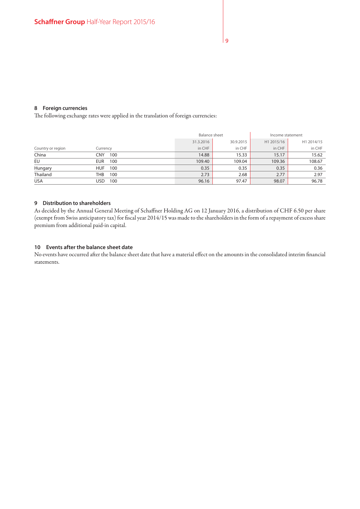#### **8 Foreign currencies**

The following exchange rates were applied in the translation of foreign currencies:

|                   |            |           | <b>Balance sheet</b> |            | Income statement |  |
|-------------------|------------|-----------|----------------------|------------|------------------|--|
|                   |            | 31.3.2016 | 30.9.2015            | H1 2015/16 | H1 2014/15       |  |
| Country or region | Currency   | in CHF    | in CHF               | in CHF     | in CHF           |  |
| China             | CNY<br>100 | 14.88     | 15.33                | 15.17      | 15.62            |  |
| EU                | EUR<br>100 | 109.40    | 109.04               | 109.36     | 108.67           |  |
| Hungary           | HUF<br>100 | 0.35      | 0.35                 | 0.35       | 0.36             |  |
| Thailand          | THB<br>100 | 2.73      | 2.68                 | 2.77       | 2.97             |  |
| <b>USA</b>        | USD<br>100 | 96.16     | 97.47                | 98.07      | 96.78            |  |

#### **9 Distribution to shareholders**

As decided by the Annual General Meeting of Schaffner Holding AG on 12 January 2016, a distribution of CHF 6.50 per share (exempt from Swiss anticipatory tax) for fiscal year 2014/15 was made to the shareholders in the form of a repayment of excess share premium from additional paid-in capital.

#### **10 Events after the balance sheet date**

No events have occurred after the balance sheet date that have a material effect on the amounts in the consolidated interim financial statements.